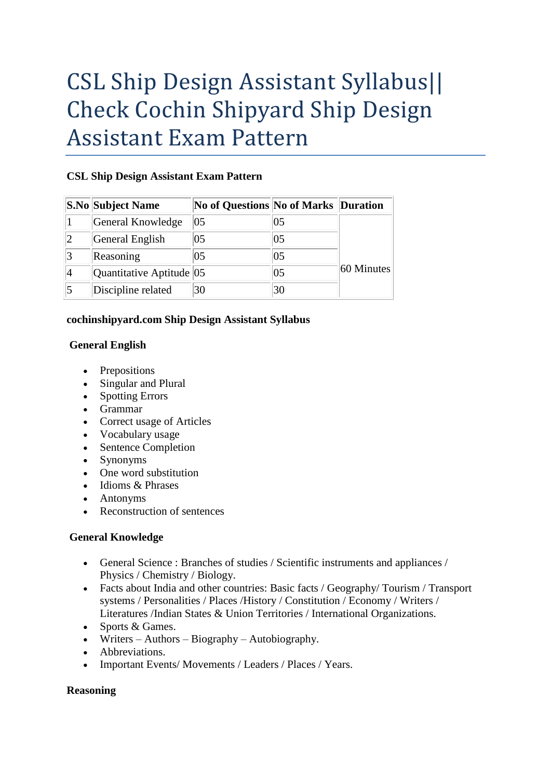# CSL Ship Design Assistant Syllabus|| Check Cochin Shipyard Ship Design Assistant Exam Pattern

## **CSL Ship Design Assistant Exam Pattern**

| <b>S.No Subject Name</b> | <b>No of Questions No of Marks Duration</b> |    |              |
|--------------------------|---------------------------------------------|----|--------------|
| General Knowledge        | 105                                         | 05 |              |
| General English          | 05                                          | 05 | $60$ Minutes |
| Reasoning                | 05                                          | 05 |              |
| Quantitative Aptitude 05 |                                             | 05 |              |
| Discipline related       | 30                                          | 30 |              |

## **cochinshipyard.com Ship Design Assistant Syllabus**

## **General English**

- Prepositions
- Singular and Plural
- Spotting Errors
- Grammar
- Correct usage of Articles
- Vocabulary usage
- Sentence Completion
- Synonyms
- One word substitution
- Idioms & Phrases
- Antonyms
- Reconstruction of sentences

# **General Knowledge**

- General Science : Branches of studies / Scientific instruments and appliances / Physics / Chemistry / Biology.
- Facts about India and other countries: Basic facts / Geography/ Tourism / Transport systems / Personalities / Places /History / Constitution / Economy / Writers / Literatures /Indian States & Union Territories / International Organizations.
- Sports & Games.
- Writers Authors Biography Autobiography.
- Abbreviations.
- Important Events/Movements / Leaders / Places / Years.

#### **Reasoning**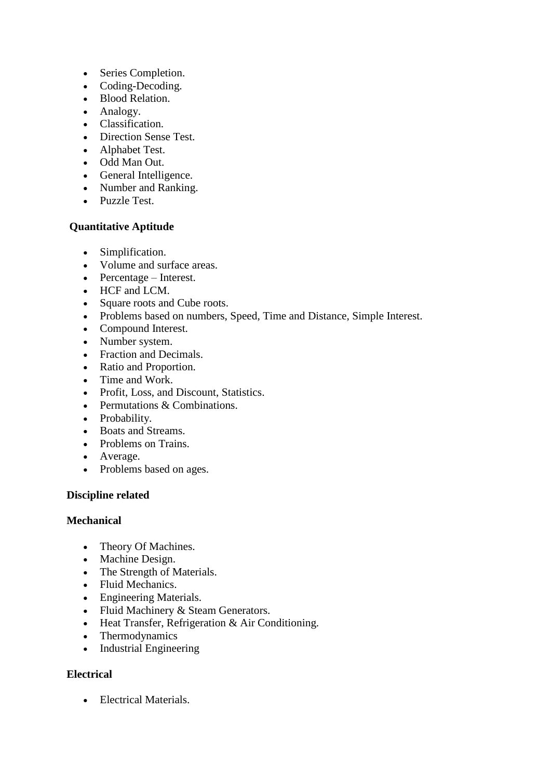- Series Completion.
- Coding-Decoding.
- Blood Relation.
- Analogy.
- Classification.
- Direction Sense Test.
- Alphabet Test.
- Odd Man Out.
- General Intelligence.
- Number and Ranking.
- Puzzle Test.

## **Quantitative Aptitude**

- Simplification.
- Volume and surface areas.
- Percentage Interest.
- HCF and LCM.
- Square roots and Cube roots.
- Problems based on numbers, Speed, Time and Distance, Simple Interest.
- Compound Interest.
- Number system.
- Fraction and Decimals.
- Ratio and Proportion.
- Time and Work.
- Profit, Loss, and Discount, Statistics.
- Permutations & Combinations.
- Probability.
- Boats and Streams.
- Problems on Trains.
- Average.
- Problems based on ages.

#### **Discipline related**

#### **Mechanical**

- Theory Of Machines.
- Machine Design.
- The Strength of Materials.
- Fluid Mechanics.
- Engineering Materials.
- Fluid Machinery & Steam Generators.
- Heat Transfer, Refrigeration & Air Conditioning.
- Thermodynamics
- Industrial Engineering

# **Electrical**

• Electrical Materials.